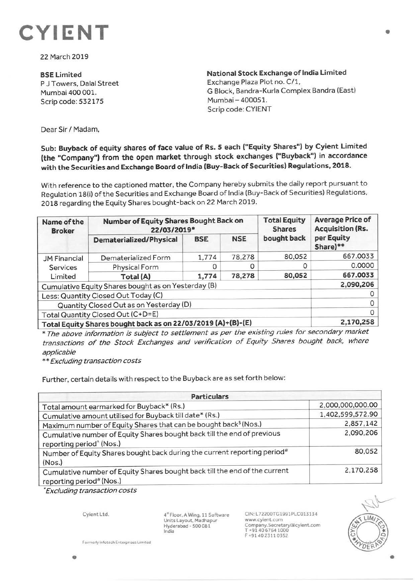

22 March 2019

**BSELimited**  P J Towers, Dalal Street Mumbai 400 001. Scrip code: 532175

**National Stock Exchange of India Limited**  Exchange Plaza Plot no. C/1, G Block, Bandra-Kurla Complex Bandra (East) Mumbai - 400051. Scrip code: CYIENT

Dear Sir/ Madam,

**Sub: Buyback of equity shares of face value of Rs. S each ("Equity Shares") by Cyient Limited (the "Company") from the open market through stock exchanges ("Buyback") in accordance with the Securities and Exchange Board of India (Buy-Back of Securities) Regulations, 2018.** 

With reference to the captioned matter, the Company hereby submits the daily report pursuant to Regulation 18(i) of the Securities and Exchange Board of India (Buy-Back of Securities) Regulations. 2018 regarding the Equity Shares bought-back on 22 March 2019.

| Name of the<br><b>Broker</b>                                 | Number of Equity Shares Bought Back on<br>22/03/2019* |            |            | <b>Total Equity</b><br><b>Shares</b> | <b>Average Price of</b><br><b>Acquisition (Rs.</b> |
|--------------------------------------------------------------|-------------------------------------------------------|------------|------------|--------------------------------------|----------------------------------------------------|
|                                                              | Dematerialized/Physical                               | <b>BSE</b> | <b>NSE</b> | bought back                          | per Equity<br>Share)**                             |
| <b>JM Financial</b>                                          | Dematerialized Form                                   | 1,774      | 78,278     | 80,052                               | 667.0033                                           |
| Services<br>Limited                                          | Physical Form                                         |            |            | 0                                    | 0.0000                                             |
|                                                              | Total (A)                                             | 1,774      | 78,278     | 80,052                               | 667.0033                                           |
| Cumulative Equity Shares bought as on Yesterday (B)          |                                                       |            |            |                                      | 2,090,206                                          |
| Less: Quantity Closed Out Today (C)                          |                                                       |            |            |                                      |                                                    |
| Quantity Closed Out as on Yesterday (D)                      |                                                       |            |            |                                      |                                                    |
| Total Quantity Closed Out (C+D=E)                            |                                                       |            |            |                                      |                                                    |
| Total Equity Shares bought back as on 22/03/2019 (A)+(B)-(E) |                                                       |            |            |                                      | 2,170,258                                          |

\* The above information is subject to settlement as per the existing rules for secondary market transactions of the Stock Exchanges and verification of Equity Shares bought back, where applicable

\*\* Excluding transaction costs

Further, certain details with respect to the Buyback are as set forth below:

| <b>Particulars</b>                                                                                              |                  |  |  |  |
|-----------------------------------------------------------------------------------------------------------------|------------------|--|--|--|
| Total amount earmarked for Buyback* (Rs.)                                                                       | 2,000,000,000.00 |  |  |  |
| Cumulative amount utilised for Buyback till date* (Rs.)                                                         | 1,402,599,572.90 |  |  |  |
| Maximum number of Equity Shares that can be bought back <sup>\$</sup> (Nos.)                                    | 2,857,142        |  |  |  |
| Cumulative number of Equity Shares bought back till the end of previous<br>reporting period <sup>^</sup> (Nos.) | 2,090,206        |  |  |  |
| Number of Equity Shares bought back during the current reporting period#<br>(Nos.)                              | 80,052           |  |  |  |
| Cumulative number of Equity Shares bought back till the end of the current<br>reporting period# (Nos.)          | 2,170,258        |  |  |  |

'Excluding transaction costs

Cyient Ltd.

4'" Floor. A Wing. 11 Software Units Layout, Madhapur Hyderabad - 500 081 India

CIN: L72200TG1991PLC013134 www.cyient.com Company.Secretary@cylent.com<br>T +91 40 6764 1000 F +9140 2311 03S2



•

Formerly Infotech Enterprises Limited